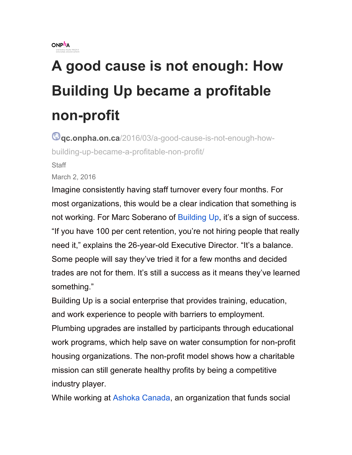

## **A good cause is not enough: How Building Up became a profitable non-profit**

**qc.onpha.on.ca**/2016/03/a-good-cause-is-not-enough-howbuilding-up-became-a-profitable-non-profit/

**Staff** 

March 2, 2016

Imagine consistently having staff turnover every four months. For most organizations, this would be a clear indication that something is not working. For Marc Soberano of Building Up, it's a sign of success. "If you have 100 per cent retention, you're not hiring people that really need it," explains the 26-year-old Executive Director. "It's a balance. Some people will say they've tried it for a few months and decided trades are not for them. It's still a success as it means they've learned something."

Building Up is a social enterprise that provides training, education, and work experience to people with barriers to employment.

Plumbing upgrades are installed by participants through educational work programs, which help save on water consumption for non-profit housing organizations. The non-profit model shows how a charitable mission can still generate healthy profits by being a competitive industry player.

While working at Ashoka Canada, an organization that funds social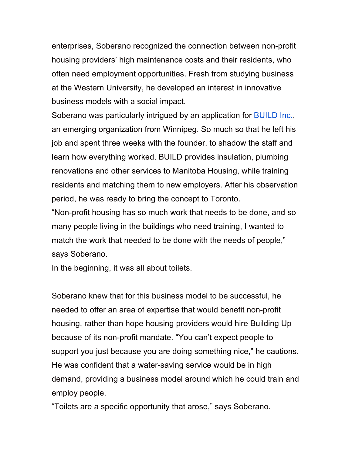enterprises, Soberano recognized the connection between non-profit housing providers' high maintenance costs and their residents, who often need employment opportunities. Fresh from studying business at the Western University, he developed an interest in innovative business models with a social impact.

Soberano was particularly intrigued by an application for **BUILD** Inc., an emerging organization from Winnipeg. So much so that he left his job and spent three weeks with the founder, to shadow the staff and learn how everything worked. BUILD provides insulation, plumbing renovations and other services to Manitoba Housing, while training residents and matching them to new employers. After his observation period, he was ready to bring the concept to Toronto.

"Non-profit housing has so much work that needs to be done, and so many people living in the buildings who need training, I wanted to match the work that needed to be done with the needs of people," says Soberano.

In the beginning, it was all about toilets.

Soberano knew that for this business model to be successful, he needed to offer an area of expertise that would benefit non-profit housing, rather than hope housing providers would hire Building Up because of its non-profit mandate. "You can't expect people to support you just because you are doing something nice," he cautions. He was confident that a water-saving service would be in high demand, providing a business model around which he could train and employ people.

"Toilets are a specific opportunity that arose," says Soberano.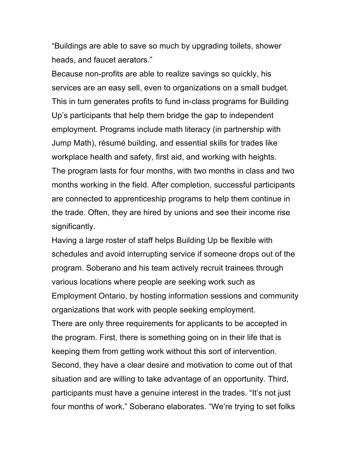"Buildings are able to save so much by upgrading toilets, shower heads, and faucet aerators."

Because non-profits are able to realize savings so quickly, his services are an easy sell, even to organizations on a small budget. This in turn generates profits to fund in-class programs for Building Up's participants that help them bridge the gap to independent employment. Programs include math literacy (in partnership with Jump Math), résumé building, and essential skills for trades like workplace health and safety, first aid, and working with heights. The program lasts for four months, with two months in class and two months working in the field. After completion, successful participants are connected to apprenticeship programs to help them continue in the trade. Often, they are hired by unions and see their income rise significantly.

Having a large roster of staff helps Building Up be flexible with schedules and avoid interrupting service if someone drops out of the program. Soberano and his team actively recruit trainees through various locations where people are seeking work such as Employment Ontario, by hosting information sessions and community organizations that work with people seeking employment. There are only three requirements for applicants to be accepted in the program. First, there is something going on in their life that is keeping them from getting work without this sort of intervention. Second, they have a clear desire and motivation to come out of that situation and are willing to take advantage of an opportunity. Third, participants must have a genuine interest in the trades. "It's not just four months of work," Soberano elaborates. "We're trying to set folks